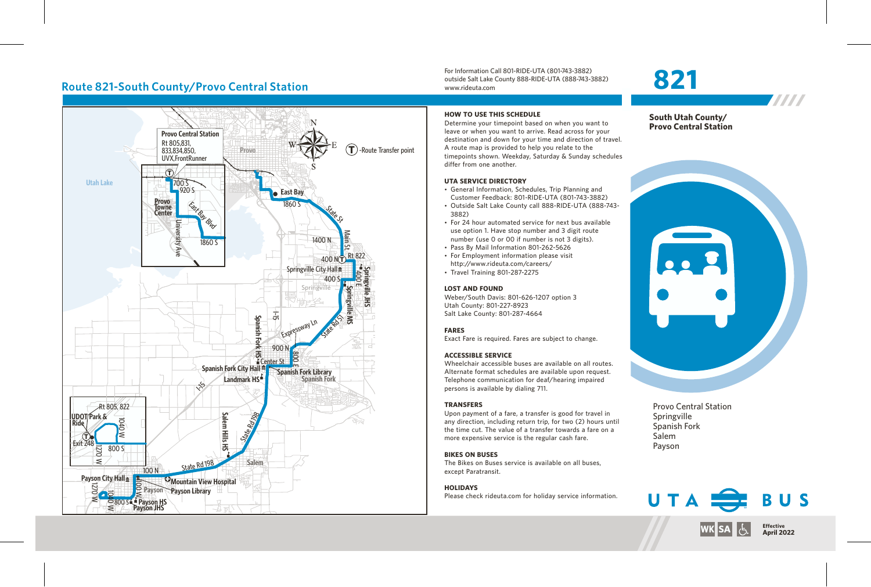# **Route 821-South County/Provo Central Station**



For Information Call 801-RIDE-UTA (801-743-3882) outside Salt Lake County 888-RIDE-UTA (888-743-3882) www.rideuta.com

# **HOW TO USE THIS SCHEDULE**

Determine your timepoint based on when you want to leave or when you want to arrive. Read across for your destination and down for your time and direction of travel. A route map is provided to help you relate to the timepoints shown. Weekday, Saturday & Sunday schedules differ from one another.

### **UTA SERVICE DIRECTORY**

- General Information, Schedules, Trip Planning and Customer Feedback: 801-RIDE-UTA (801-743-3882)
- Outside Salt Lake County call 888-RIDE-UTA (888-743-3882)
- For 24 hour automated service for next bus available use option 1. Have stop number and 3 digit route number (use 0 or 00 if number is not 3 digits).
- Pass By Mail Information 801-262-5626
- For Employment information please visit http://www.rideuta.com/careers/
- $\cdot$  Travel Training 801-287-2275

### **LOST AND FOUND**

Weber/South Davis: 801-626-1207 option 3 Utah County: 801-227-8923 Salt Lake County: 801-287-4664

### **FARES**

Exact Fare is required. Fares are subject to change.

### **ACCESSIBLE SERVICE**

Wheelchair accessible buses are available on all routes. Alternate format schedules are available upon request. Telephone communication for deaf/hearing impaired persons is available by dialing 711.

### **TRANSFERS**

Upon payment of a fare, a transfer is good for travel in any direction, including return trip, for two (2) hours until the time cut. The value of a transfer towards a fare on a more expensive service is the regular cash fare.

### **BIKES ON BUSES**

The Bikes on Buses service is available on all buses, except Paratransit.

### **HOLIDAYS**

Please check rideuta.com for holiday service information.

# **821**

**Provo Central Station**



# 228

Provo Central Station Springville Spanish Fork Salem Payson